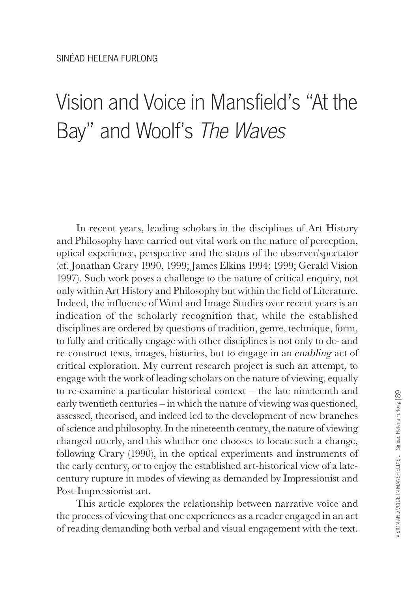## Vision and Voice in Mansfield's "At the Bay" and Woolf's The Waves

In recent years, leading scholars in the disciplines of Art History and Philosophy have carried out vital work on the nature of perception, optical experience, perspective and the status of the observer/spectator (cf. Jonathan Crary 1990, 1999; James Elkins 1994; 1999; Gerald Vision 1997). Such work poses a challenge to the nature of critical enquiry, not only within Art History and Philosophy but within the field of Literature. Indeed, the influence of Word and Image Studies over recent years is an indication of the scholarly recognition that, while the established disciplines are ordered by questions of tradition, genre, technique, form, to fully and critically engage with other disciplines is not only to de- and re-construct texts, images, histories, but to engage in an enabling act of critical exploration. My current research project is such an attempt, to engage with the work of leading scholars on the nature of viewing, equally to re-examine a particular historical context – the late nineteenth and early twentieth centuries – in which the nature of viewing was questioned, assessed, theorised, and indeed led to the development of new branches of science and philosophy. In the nineteenth century, the nature of viewing changed utterly, and this whether one chooses to locate such a change, following Crary (1990), in the optical experiments and instruments of the early century, or to enjoy the established art-historical view of a latecentury rupture in modes of viewing as demanded by Impressionist and Post-Impressionist art.

This article explores the relationship between narrative voice and the process of viewing that one experiences as a reader engaged in an act of reading demanding both verbal and visual engagement with the text.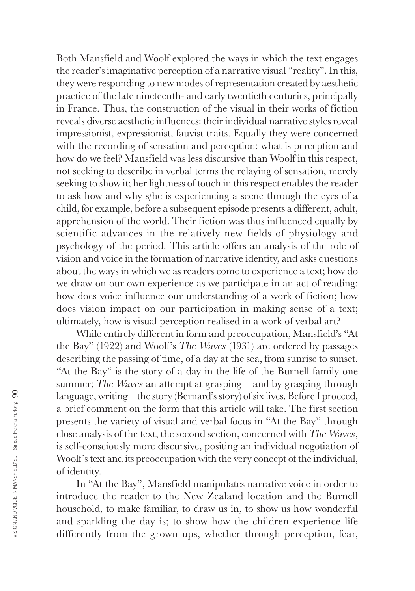Both Mansfield and Woolf explored the ways in which the text engages the reader's imaginative perception of a narrative visual "reality". In this, they were responding to new modes of representation created by aesthetic practice of the late nineteenth- and early twentieth centuries, principally in France. Thus, the construction of the visual in their works of fiction reveals diverse aesthetic influences: their individual narrative styles reveal impressionist, expressionist, fauvist traits. Equally they were concerned with the recording of sensation and perception: what is perception and how do we feel? Mansfield was less discursive than Woolf in this respect, not seeking to describe in verbal terms the relaying of sensation, merely seeking to show it; her lightness of touch in this respect enables the reader to ask how and why s/he is experiencing a scene through the eyes of a child, for example, before a subsequent episode presents a different, adult, apprehension of the world. Their fiction was thus influenced equally by scientific advances in the relatively new fields of physiology and psychology of the period. This article offers an analysis of the role of vision and voice in the formation of narrative identity, and asks questions about the ways in which we as readers come to experience a text; how do we draw on our own experience as we participate in an act of reading; how does voice influence our understanding of a work of fiction; how does vision impact on our participation in making sense of a text; ultimately, how is visual perception realised in a work of verbal art?

While entirely different in form and preoccupation, Mansfield's "At the Bay" (1922) and Woolf's The Waves (1931) are ordered by passages describing the passing of time, of a day at the sea, from sunrise to sunset. "At the Bay" is the story of a day in the life of the Burnell family one summer; The Waves an attempt at grasping – and by grasping through language, writing – the story (Bernard's story) of six lives. Before I proceed, a brief comment on the form that this article will take. The first section presents the variety of visual and verbal focus in "At the Bay" through close analysis of the text; the second section, concerned with The Waves, is self-consciously more discursive, positing an individual negotiation of Woolf's text and its preoccupation with the very concept of the individual, of identity.

In "At the Bay", Mansfield manipulates narrative voice in order to introduce the reader to the New Zealand location and the Burnell household, to make familiar, to draw us in, to show us how wonderful and sparkling the day is; to show how the children experience life differently from the grown ups, whether through perception, fear,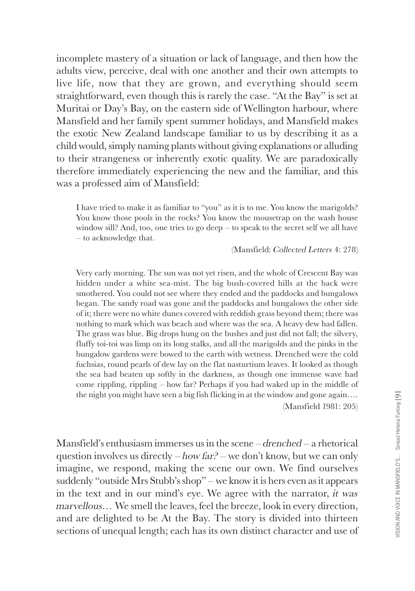incomplete mastery of a situation or lack of language, and then how the adults view, perceive, deal with one another and their own attempts to live life, now that they are grown, and everything should seem straightforward, even though this is rarely the case. "At the Bay" is set at Muritai or Day's Bay, on the eastern side of Wellington harbour, where Mansfield and her family spent summer holidays, and Mansfield makes the exotic New Zealand landscape familiar to us by describing it as a child would, simply naming plants without giving explanations or alluding to their strangeness or inherently exotic quality. We are paradoxically therefore immediately experiencing the new and the familiar, and this was a professed aim of Mansfield:

I have tried to make it as familiar to "you" as it is to me. You know the marigolds? You know those pools in the rocks? You know the mousetrap on the wash house window sill? And, too, one tries to go deep – to speak to the secret self we all have – to acknowledge that.

(Mansfield: Collected Letters 4: 278)

Very early morning. The sun was not yet risen, and the whole of Crescent Bay was hidden under a white sea-mist. The big bush-covered hills at the back were smothered. You could not see where they ended and the paddocks and bungalows began. The sandy road was gone and the paddocks and bungalows the other side of it; there were no white dunes covered with reddish grass beyond them; there was nothing to mark which was beach and where was the sea. A heavy dew had fallen. The grass was blue. Big drops hung on the bushes and just did not fall; the silvery, fluffy toi-toi was limp on its long stalks, and all the marigolds and the pinks in the bungalow gardens were bowed to the earth with wetness. Drenched were the cold fuchsias, round pearls of dew lay on the flat nasturtium leaves. It looked as though the sea had beaten up softly in the darkness, as though one immense wave had come rippling, rippling – how far? Perhaps if you had waked up in the middle of the night you might have seen a big fish flicking in at the window and gone again…. (Mansfield 1981: 205)

Mansfield's enthusiasm immerses us in the scene  $-d$ renched  $-$  a rhetorical question involves us directly – how far? – we don't know, but we can only imagine, we respond, making the scene our own. We find ourselves suddenly "outside Mrs Stubb's shop" – we know it is hers even as it appears in the text and in our mind's eye. We agree with the narrator, it was marvellous… We smell the leaves, feel the breeze, look in every direction, and are delighted to be At the Bay. The story is divided into thirteen sections of unequal length; each has its own distinct character and use of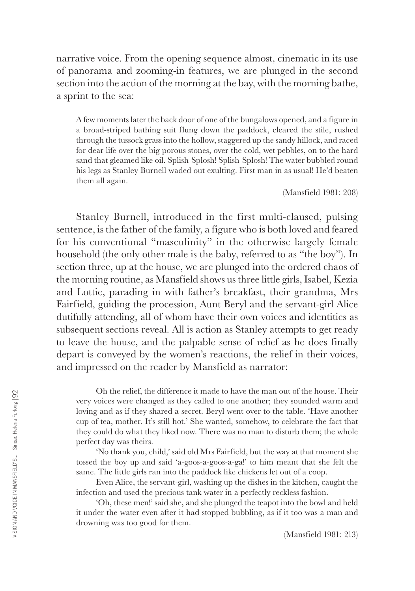narrative voice. From the opening sequence almost, cinematic in its use of panorama and zooming-in features, we are plunged in the second section into the action of the morning at the bay, with the morning bathe, a sprint to the sea:

A few moments later the back door of one of the bungalows opened, and a figure in a broad-striped bathing suit flung down the paddock, cleared the stile, rushed through the tussock grass into the hollow, staggered up the sandy hillock, and raced for dear life over the big porous stones, over the cold, wet pebbles, on to the hard sand that gleamed like oil. Splish-Splosh! Splish-Splosh! The water bubbled round his legs as Stanley Burnell waded out exulting. First man in as usual! He'd beaten them all again.

(Mansfield 1981: 208)

Stanley Burnell, introduced in the first multi-claused, pulsing sentence, is the father of the family, a figure who is both loved and feared for his conventional "masculinity" in the otherwise largely female household (the only other male is the baby, referred to as "the boy"). In section three, up at the house, we are plunged into the ordered chaos of the morning routine, as Mansfield shows us three little girls, Isabel, Kezia and Lottie, parading in with father's breakfast, their grandma, Mrs Fairfield, guiding the procession, Aunt Beryl and the servant-girl Alice dutifully attending, all of whom have their own voices and identities as subsequent sections reveal. All is action as Stanley attempts to get ready to leave the house, and the palpable sense of relief as he does finally depart is conveyed by the women's reactions, the relief in their voices, and impressed on the reader by Mansfield as narrator:

Oh the relief, the difference it made to have the man out of the house. Their very voices were changed as they called to one another; they sounded warm and loving and as if they shared a secret. Beryl went over to the table. 'Have another cup of tea, mother. It's still hot.' She wanted, somehow, to celebrate the fact that they could do what they liked now. There was no man to disturb them; the whole perfect day was theirs.

'No thank you, child,' said old Mrs Fairfield, but the way at that moment she tossed the boy up and said 'a-goos-a-goos-a-ga!' to him meant that she felt the same. The little girls ran into the paddock like chickens let out of a coop.

Even Alice, the servant-girl, washing up the dishes in the kitchen, caught the infection and used the precious tank water in a perfectly reckless fashion.

'Oh, these men!' said she, and she plunged the teapot into the bowl and held it under the water even after it had stopped bubbling, as if it too was a man and drowning was too good for them.

(Mansfield 1981: 213)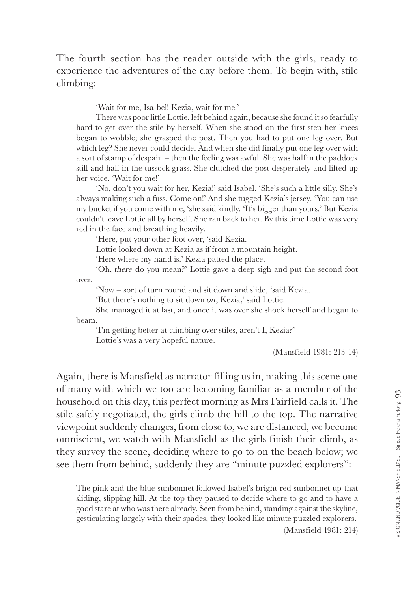The fourth section has the reader outside with the girls, ready to experience the adventures of the day before them. To begin with, stile climbing:

'Wait for me, Isa-bel! Kezia, wait for me!'

There was poor little Lottie, left behind again, because she found it so fearfully hard to get over the stile by herself. When she stood on the first step her knees began to wobble; she grasped the post. Then you had to put one leg over. But which leg? She never could decide. And when she did finally put one leg over with a sort of stamp of despair – then the feeling was awful. She was half in the paddock still and half in the tussock grass. She clutched the post desperately and lifted up her voice. 'Wait for me!'

'No, don't you wait for her, Kezia!' said Isabel. 'She's such a little silly. She's always making such a fuss. Come on!' And she tugged Kezia's jersey. 'You can use my bucket if you come with me, 'she said kindly. 'It's bigger than yours.' But Kezia couldn't leave Lottie all by herself. She ran back to her. By this time Lottie was very red in the face and breathing heavily.

'Here, put your other foot over, 'said Kezia.

Lottie looked down at Kezia as if from a mountain height.

'Here where my hand is.' Kezia patted the place.

'Oh, there do you mean?' Lottie gave a deep sigh and put the second foot over.

'Now – sort of turn round and sit down and slide, 'said Kezia.

'But there's nothing to sit down on, Kezia,' said Lottie.

She managed it at last, and once it was over she shook herself and began to beam.

'I'm getting better at climbing over stiles, aren't I, Kezia?' Lottie's was a very hopeful nature.

(Mansfield 1981: 213-14)

Again, there is Mansfield as narrator filling us in, making this scene one of many with which we too are becoming familiar as a member of the household on this day, this perfect morning as Mrs Fairfield calls it. The stile safely negotiated, the girls climb the hill to the top. The narrative viewpoint suddenly changes, from close to, we are distanced, we become omniscient, we watch with Mansfield as the girls finish their climb, as they survey the scene, deciding where to go to on the beach below; we see them from behind, suddenly they are "minute puzzled explorers":

The pink and the blue sunbonnet followed Isabel's bright red sunbonnet up that sliding, slipping hill. At the top they paused to decide where to go and to have a good stare at who was there already. Seen from behind, standing against the skyline, gesticulating largely with their spades, they looked like minute puzzled explorers.

(Mansfield 1981: 214)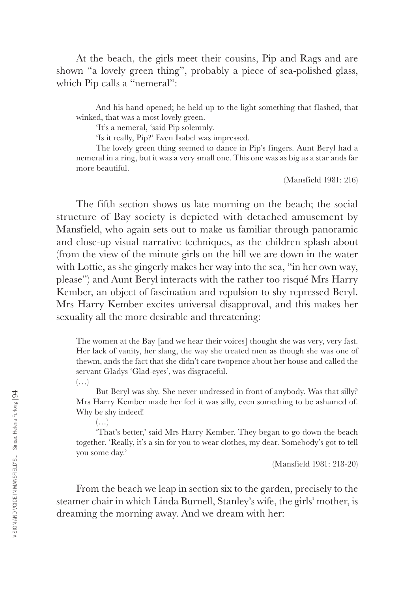At the beach, the girls meet their cousins, Pip and Rags and are shown "a lovely green thing", probably a piece of sea-polished glass, which Pip calls a "nemeral":

And his hand opened; he held up to the light something that flashed, that winked, that was a most lovely green.

'It's a nemeral, 'said Pip solemnly.

'Is it really, Pip?' Even Isabel was impressed.

The lovely green thing seemed to dance in Pip's fingers. Aunt Beryl had a nemeral in a ring, but it was a very small one. This one was as big as a star ands far more beautiful.

(Mansfield 1981: 216)

The fifth section shows us late morning on the beach; the social structure of Bay society is depicted with detached amusement by Mansfield, who again sets out to make us familiar through panoramic and close-up visual narrative techniques, as the children splash about (from the view of the minute girls on the hill we are down in the water with Lottie, as she gingerly makes her way into the sea, "in her own way, please") and Aunt Beryl interacts with the rather too risqué Mrs Harry Kember, an object of fascination and repulsion to shy repressed Beryl. Mrs Harry Kember excites universal disapproval, and this makes her sexuality all the more desirable and threatening:

The women at the Bay [and we hear their voices] thought she was very, very fast. Her lack of vanity, her slang, the way she treated men as though she was one of thewm, ands the fact that she didn't care twopence about her house and called the servant Gladys 'Glad-eyes', was disgraceful.

 $(\ldots)$ 

But Beryl was shy. She never undressed in front of anybody. Was that silly? Mrs Harry Kember made her feel it was silly, even something to be ashamed of. Why be shy indeed!

 $(\ldots)$ 

'That's better,' said Mrs Harry Kember. They began to go down the beach together. 'Really, it's a sin for you to wear clothes, my dear. Somebody's got to tell you some day.'

(Mansfield 1981: 218-20)

From the beach we leap in section six to the garden, precisely to the steamer chair in which Linda Burnell, Stanley's wife, the girls' mother, is dreaming the morning away. And we dream with her: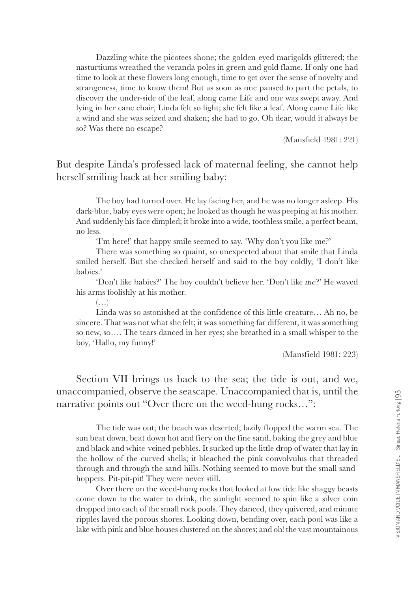Dazzling white the picotees shone; the golden-eyed marigolds glittered; the nasturtiums wreathed the veranda poles in green and gold flame. If only one had time to look at these flowers long enough, time to get over the sense of novelty and strangeness, time to know them! But as soon as one paused to part the petals, to discover the under-side of the leaf, along came Life and one was swept away. And lying in her cane chair, Linda felt so light; she felt like a leaf. Along came Life like a wind and she was seized and shaken; she had to go. Oh dear, would it always be so? Was there no escape?

(Mansfield 1981: 221)

But despite Linda's professed lack of maternal feeling, she cannot help herself smiling back at her smiling baby:

The boy had turned over. He lay facing her, and he was no longer asleep. His dark-blue, baby eyes were open; he looked as though he was peeping at his mother. And suddenly his face dimpled; it broke into a wide, toothless smile, a perfect beam, no less.

'I'm here!' that happy smile seemed to say. 'Why don't you like me?'

There was something so quaint, so unexpected about that smile that Linda smiled herself. But she checked herself and said to the boy coldly, 'I don't like babies.'

'Don't like babies?' The boy couldn't believe her. 'Don't like me?' He waved his arms foolishly at his mother.

 $(\ldots)$ 

Linda was so astonished at the confidence of this little creature… Ah no, be sincere. That was not what she felt; it was something far different, it was something so new, so…. The tears danced in her eyes; she breathed in a small whisper to the boy, 'Hallo, my funny!'

(Mansfield 1981: 223)

Section VII brings us back to the sea; the tide is out, and we, unaccompanied, observe the seascape. Unaccompanied that is, until the narrative points out "Over there on the weed-hung rocks…":

The tide was out; the beach was deserted; lazily flopped the warm sea. The sun beat down, beat down hot and fiery on the fine sand, baking the grey and blue and black and white-veined pebbles. It sucked up the little drop of water that lay in the hollow of the curved shells; it bleached the pink convolvulus that threaded through and through the sand-hills. Nothing seemed to move but the small sandhoppers. Pit-pit-pit! They were never still.

Over there on the weed-hung rocks that looked at low tide like shaggy beasts come down to the water to drink, the sunlight seemed to spin like a silver coin dropped into each of the small rock pools. They danced, they quivered, and minute ripples laved the porous shores. Looking down, bending over, each pool was like a lake with pink and blue houses clustered on the shores; and oh! the vast mountainous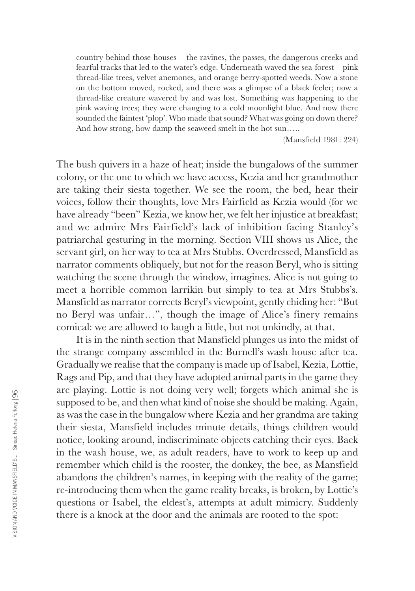country behind those houses – the ravines, the passes, the dangerous creeks and fearful tracks that led to the water's edge. Underneath waved the sea-forest – pink thread-like trees, velvet anemones, and orange berry-spotted weeds. Now a stone on the bottom moved, rocked, and there was a glimpse of a black feeler; now a thread-like creature wavered by and was lost. Something was happening to the pink waving trees; they were changing to a cold moonlight blue. And now there sounded the faintest 'plop'. Who made that sound? What was going on down there? And how strong, how damp the seaweed smelt in the hot sun…..

(Mansfield 1981: 224)

The bush quivers in a haze of heat; inside the bungalows of the summer colony, or the one to which we have access, Kezia and her grandmother are taking their siesta together. We see the room, the bed, hear their voices, follow their thoughts, love Mrs Fairfield as Kezia would (for we have already "been" Kezia, we know her, we felt her injustice at breakfast; and we admire Mrs Fairfield's lack of inhibition facing Stanley's patriarchal gesturing in the morning. Section VIII shows us Alice, the servant girl, on her way to tea at Mrs Stubbs. Overdressed, Mansfield as narrator comments obliquely, but not for the reason Beryl, who is sitting watching the scene through the window, imagines. Alice is not going to meet a horrible common larrikin but simply to tea at Mrs Stubbs's. Mansfield as narrator corrects Beryl's viewpoint, gently chiding her: "But no Beryl was unfair…", though the image of Alice's finery remains comical: we are allowed to laugh a little, but not unkindly, at that.

It is in the ninth section that Mansfield plunges us into the midst of the strange company assembled in the Burnell's wash house after tea. Gradually we realise that the company is made up of Isabel, Kezia, Lottie, Rags and Pip, and that they have adopted animal parts in the game they are playing. Lottie is not doing very well; forgets which animal she is supposed to be, and then what kind of noise she should be making. Again, as was the case in the bungalow where Kezia and her grandma are taking their siesta, Mansfield includes minute details, things children would notice, looking around, indiscriminate objects catching their eyes. Back in the wash house, we, as adult readers, have to work to keep up and remember which child is the rooster, the donkey, the bee, as Mansfield abandons the children's names, in keeping with the reality of the game; re-introducing them when the game reality breaks, is broken, by Lottie's questions or Isabel, the eldest's, attempts at adult mimicry. Suddenly there is a knock at the door and the animals are rooted to the spot: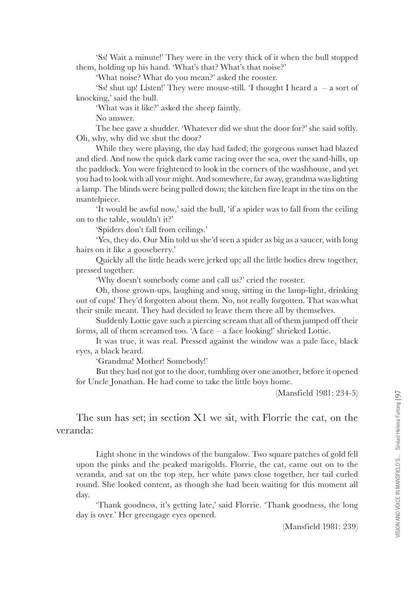'Ss! Wait a minute!' They were in the very thick of it when the bull stopped them, holding up his hand. 'What's that? What's that noise?'

'What noise? What do you mean?' asked the rooster.

'Ss! shut up! Listen!' They were mouse-still. 'I thought I heard a – a sort of knocking,' said the bull.

'What was it like?' asked the sheep faintly.

No answer.

The bee gave a shudder. 'Whatever did we shut the door for?' she said softly. Oh, why, why did we shut the door?

While they were playing, the day had faded; the gorgeous sunset had blazed and died. And now the quick dark came racing over the sea, over the sand-hills, up the paddock. You were frightened to look in the corners of the washhouse, and yet you had to look with all your might. And somewhere, far away, grandma was lighting a lamp. The blinds were being pulled down; the kitchen fire leapt in the tins on the mantelpiece.

'It would be awful now,' said the bull, 'if a spider was to fall from the ceiling on to the table, wouldn't it?'

'Spiders don't fall from ceilings.'

'Yes, they do. Our Min told us she'd seen a spider as big as a saucer, with long hairs on it like a gooseberry.'

Quickly all the little heads were jerked up; all the little bodies drew together, pressed together.

'Why doesn't somebody come and call us?' cried the rooster.

Oh, those grown-ups, laughing and snug, sitting in the lamp-light, drinking out of cups! They'd forgotten about them. No, not really forgotten. That was what their smile meant. They had decided to leave them there all by themselves.

Suddenly Lottie gave such a piercing scream that all of them jumped off their forms, all of them screamed too. 'A face – a face looking!' shrieked Lottie.

It was true, it was real. Pressed against the window was a pale face, black eyes, a black beard.

'Grandma! Mother! Somebody!'

But they had not got to the door, tumbling over one another, before it opened for Uncle Jonathan. He had come to take the little boys home.

(Mansfield 1981: 234-5)

The sun has set; in section X1 we sit, with Florrie the cat, on the veranda:

Light shone in the windows of the bungalow. Two square patches of gold fell upon the pinks and the peaked marigolds. Florrie, the cat, came out on to the veranda, and sat on the top step, her white paws close together, her tail curled round. She looked content, as though she had been waiting for this moment all day.

'Thank goodness, it's getting late,' said Florrie. 'Thank goodness, the long day is over.' Her greengage eyes opened.

(Mansfield 1981: 239)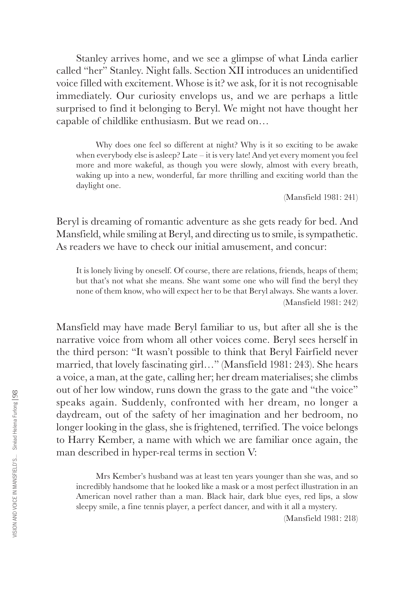Stanley arrives home, and we see a glimpse of what Linda earlier called "her" Stanley. Night falls. Section XII introduces an unidentified voice filled with excitement. Whose is it? we ask, for it is not recognisable immediately. Our curiosity envelops us, and we are perhaps a little surprised to find it belonging to Beryl. We might not have thought her capable of childlike enthusiasm. But we read on…

Why does one feel so different at night? Why is it so exciting to be awake when everybody else is asleep? Late – it is very late! And yet every moment you feel more and more wakeful, as though you were slowly, almost with every breath, waking up into a new, wonderful, far more thrilling and exciting world than the daylight one.

(Mansfield 1981: 241)

Beryl is dreaming of romantic adventure as she gets ready for bed. And Mansfield, while smiling at Beryl, and directing us to smile, is sympathetic. As readers we have to check our initial amusement, and concur:

It is lonely living by oneself. Of course, there are relations, friends, heaps of them; but that's not what she means. She want some one who will find the beryl they none of them know, who will expect her to be that Beryl always. She wants a lover. (Mansfield 1981: 242)

Mansfield may have made Beryl familiar to us, but after all she is the narrative voice from whom all other voices come. Beryl sees herself in the third person: "It wasn't possible to think that Beryl Fairfield never married, that lovely fascinating girl…" (Mansfield 1981: 243). She hears a voice, a man, at the gate, calling her; her dream materialises; she climbs out of her low window, runs down the grass to the gate and "the voice" speaks again. Suddenly, confronted with her dream, no longer a daydream, out of the safety of her imagination and her bedroom, no longer looking in the glass, she is frightened, terrified. The voice belongs to Harry Kember, a name with which we are familiar once again, the man described in hyper-real terms in section V:

Mrs Kember's husband was at least ten years younger than she was, and so incredibly handsome that he looked like a mask or a most perfect illustration in an American novel rather than a man. Black hair, dark blue eyes, red lips, a slow sleepy smile, a fine tennis player, a perfect dancer, and with it all a mystery.

(Mansfield 1981: 218)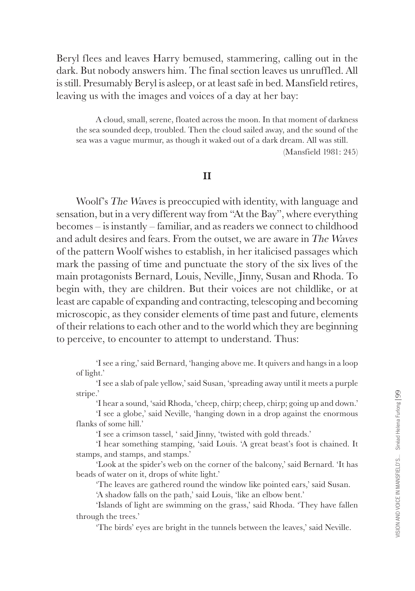Beryl flees and leaves Harry bemused, stammering, calling out in the dark. But nobody answers him. The final section leaves us unruffled. All is still. Presumably Beryl is asleep, or at least safe in bed. Mansfield retires, leaving us with the images and voices of a day at her bay:

A cloud, small, serene, floated across the moon. In that moment of darkness the sea sounded deep, troubled. Then the cloud sailed away, and the sound of the sea was a vague murmur, as though it waked out of a dark dream. All was still.

(Mansfield 1981: 245)

## **II**

Woolf's The Waves is preoccupied with identity, with language and sensation, but in a very different way from "At the Bay", where everything becomes – is instantly – familiar, and as readers we connect to childhood and adult desires and fears. From the outset, we are aware in The Waves of the pattern Woolf wishes to establish, in her italicised passages which mark the passing of time and punctuate the story of the six lives of the main protagonists Bernard, Louis, Neville, Jinny, Susan and Rhoda. To begin with, they are children. But their voices are not childlike, or at least are capable of expanding and contracting, telescoping and becoming microscopic, as they consider elements of time past and future, elements of their relations to each other and to the world which they are beginning to perceive, to encounter to attempt to understand. Thus:

'I see a ring,' said Bernard, 'hanging above me. It quivers and hangs in a loop of light.'

'I see a slab of pale yellow,' said Susan, 'spreading away until it meets a purple stripe.'

'I hear a sound, 'said Rhoda, 'cheep, chirp; cheep, chirp; going up and down.'

'I see a globe,' said Neville, 'hanging down in a drop against the enormous flanks of some hill.'

'I see a crimson tassel, ' said Jinny, 'twisted with gold threads.'

'I hear something stamping, 'said Louis. 'A great beast's foot is chained. It stamps, and stamps, and stamps.'

'Look at the spider's web on the corner of the balcony,' said Bernard. 'It has beads of water on it, drops of white light.'

'The leaves are gathered round the window like pointed ears,' said Susan.

'A shadow falls on the path,' said Louis, 'like an elbow bent.'

'Islands of light are swimming on the grass,' said Rhoda. 'They have fallen through the trees.'

'The birds' eyes are bright in the tunnels between the leaves,' said Neville.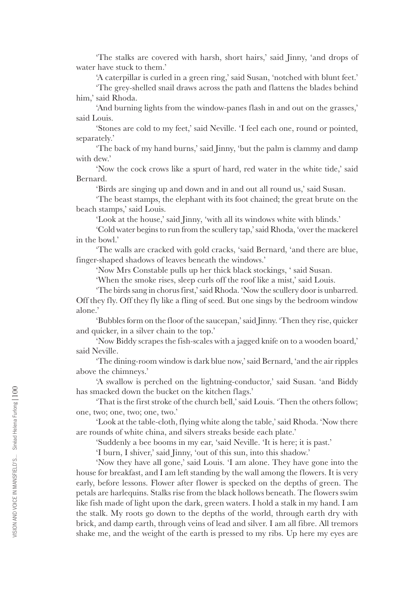'The stalks are covered with harsh, short hairs,' said Jinny, 'and drops of water have stuck to them<sup>'</sup>

'A caterpillar is curled in a green ring,' said Susan, 'notched with blunt feet.'

'The grey-shelled snail draws across the path and flattens the blades behind him,' said Rhoda.

'And burning lights from the window-panes flash in and out on the grasses,' said Louis.

'Stones are cold to my feet,' said Neville. 'I feel each one, round or pointed, separately.'

'The back of my hand burns,' said Jinny, 'but the palm is clammy and damp with dew.'

'Now the cock crows like a spurt of hard, red water in the white tide,' said Bernard.

'Birds are singing up and down and in and out all round us,' said Susan.

'The beast stamps, the elephant with its foot chained; the great brute on the beach stamps,' said Louis.

'Look at the house,' said Jinny, 'with all its windows white with blinds.'

'Cold water begins to run from the scullery tap,' said Rhoda, 'over the mackerel in the bowl.'

'The walls are cracked with gold cracks, 'said Bernard, 'and there are blue, finger-shaped shadows of leaves beneath the windows.'

'Now Mrs Constable pulls up her thick black stockings, ' said Susan.

'When the smoke rises, sleep curls off the roof like a mist,' said Louis.

'The birds sang in chorus first,' said Rhoda. 'Now the scullery door is unbarred. Off they fly. Off they fly like a fling of seed. But one sings by the bedroom window alone.'

'Bubbles form on the floor of the saucepan,' said Jinny. 'Then they rise, quicker and quicker, in a silver chain to the top.'

'Now Biddy scrapes the fish-scales with a jagged knife on to a wooden board,' said Neville.

'The dining-room window is dark blue now,' said Bernard, 'and the air ripples above the chimneys.'

'A swallow is perched on the lightning-conductor,' said Susan. 'and Biddy has smacked down the bucket on the kitchen flags.'

'That is the first stroke of the church bell,' said Louis. 'Then the others follow; one, two; one, two; one, two.'

'Look at the table-cloth, flying white along the table,' said Rhoda. 'Now there are rounds of white china, and silvers streaks beside each plate.'

'Suddenly a bee booms in my ear, 'said Neville. 'It is here; it is past.'

'I burn, I shiver,' said Jinny, 'out of this sun, into this shadow.'

'Now they have all gone,' said Louis. 'I am alone. They have gone into the house for breakfast, and I am left standing by the wall among the flowers. It is very early, before lessons. Flower after flower is specked on the depths of green. The petals are harlequins. Stalks rise from the black hollows beneath. The flowers swim like fish made of light upon the dark, green waters. I hold a stalk in my hand. I am the stalk. My roots go down to the depths of the world, through earth dry with brick, and damp earth, through veins of lead and silver. I am all fibre. All tremors shake me, and the weight of the earth is pressed to my ribs. Up here my eyes are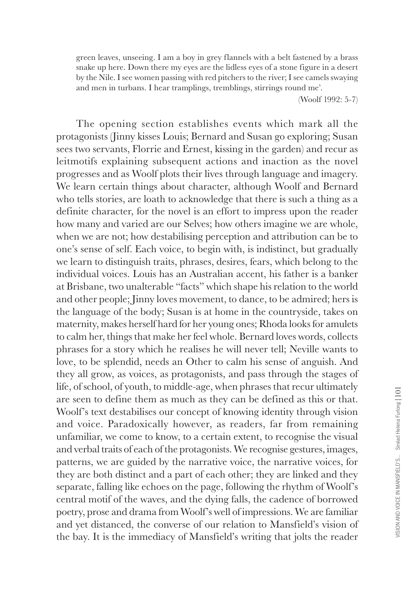green leaves, unseeing. I am a boy in grey flannels with a belt fastened by a brass snake up here. Down there my eyes are the lidless eyes of a stone figure in a desert by the Nile. I see women passing with red pitchers to the river; I see camels swaying and men in turbans. I hear tramplings, tremblings, stirrings round me'.

(Woolf 1992: 5-7)

The opening section establishes events which mark all the protagonists (Jinny kisses Louis; Bernard and Susan go exploring; Susan sees two servants, Florrie and Ernest, kissing in the garden) and recur as leitmotifs explaining subsequent actions and inaction as the novel progresses and as Woolf plots their lives through language and imagery. We learn certain things about character, although Woolf and Bernard who tells stories, are loath to acknowledge that there is such a thing as a definite character, for the novel is an effort to impress upon the reader how many and varied are our Selves; how others imagine we are whole, when we are not; how destabilising perception and attribution can be to one's sense of self. Each voice, to begin with, is indistinct, but gradually we learn to distinguish traits, phrases, desires, fears, which belong to the individual voices. Louis has an Australian accent, his father is a banker at Brisbane, two unalterable "facts" which shape his relation to the world and other people; Jinny loves movement, to dance, to be admired; hers is the language of the body; Susan is at home in the countryside, takes on maternity, makes herself hard for her young ones; Rhoda looks for amulets to calm her, things that make her feel whole. Bernard loves words, collects phrases for a story which he realises he will never tell; Neville wants to love, to be splendid, needs an Other to calm his sense of anguish. And they all grow, as voices, as protagonists, and pass through the stages of life, of school, of youth, to middle-age, when phrases that recur ultimately are seen to define them as much as they can be defined as this or that. Woolf's text destabilises our concept of knowing identity through vision and voice. Paradoxically however, as readers, far from remaining unfamiliar, we come to know, to a certain extent, to recognise the visual and verbal traits of each of the protagonists. We recognise gestures, images, patterns, we are guided by the narrative voice, the narrative voices, for they are both distinct and a part of each other; they are linked and they separate, falling like echoes on the page, following the rhythm of Woolf's central motif of the waves, and the dying falls, the cadence of borrowed poetry, prose and drama from Woolf's well of impressions. We are familiar and yet distanced, the converse of our relation to Mansfield's vision of the bay. It is the immediacy of Mansfield's writing that jolts the reader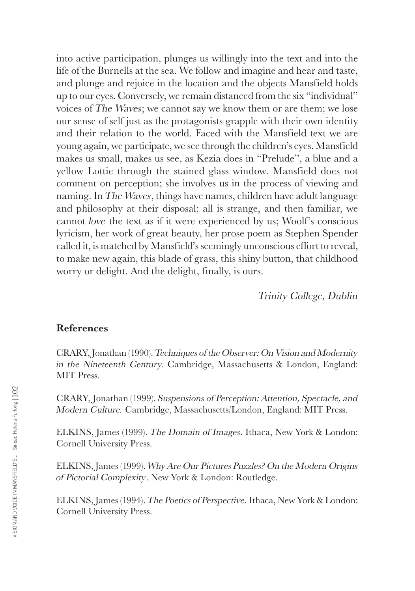into active participation, plunges us willingly into the text and into the life of the Burnells at the sea. We follow and imagine and hear and taste, and plunge and rejoice in the location and the objects Mansfield holds up to our eyes. Conversely, we remain distanced from the six "individual" voices of The Waves; we cannot say we know them or are them; we lose our sense of self just as the protagonists grapple with their own identity and their relation to the world. Faced with the Mansfield text we are young again, we participate, we see through the children's eyes. Mansfield makes us small, makes us see, as Kezia does in "Prelude", a blue and a yellow Lottie through the stained glass window. Mansfield does not comment on perception; she involves us in the process of viewing and naming. In The Waves, things have names, children have adult language and philosophy at their disposal; all is strange, and then familiar, we cannot love the text as if it were experienced by us; Woolf's conscious lyricism, her work of great beauty, her prose poem as Stephen Spender called it, is matched by Mansfield's seemingly unconscious effort to reveal, to make new again, this blade of grass, this shiny button, that childhood worry or delight. And the delight, finally, is ours.

Trinity College, Dublin

## **References**

CRARY, Jonathan (1990). Techniques of the Observer: On Vision and Modernity in the Nineteenth Century. Cambridge, Massachusetts & London, England: MIT Press.

CRARY, Jonathan (1999). Suspensions of Perception: Attention, Spectacle, and Modern Culture. Cambridge, Massachusetts/London, England: MIT Press.

ELKINS, James (1999). The Domain of Images. Ithaca, New York & London: Cornell University Press.

ELKINS, James (1999). Why Are Our Pictures Puzzles? On the Modern Origins of Pictorial Complexity. New York & London: Routledge.

ELKINS, James (1994). The Poetics of Perspective. Ithaca, New York & London: Cornell University Press.